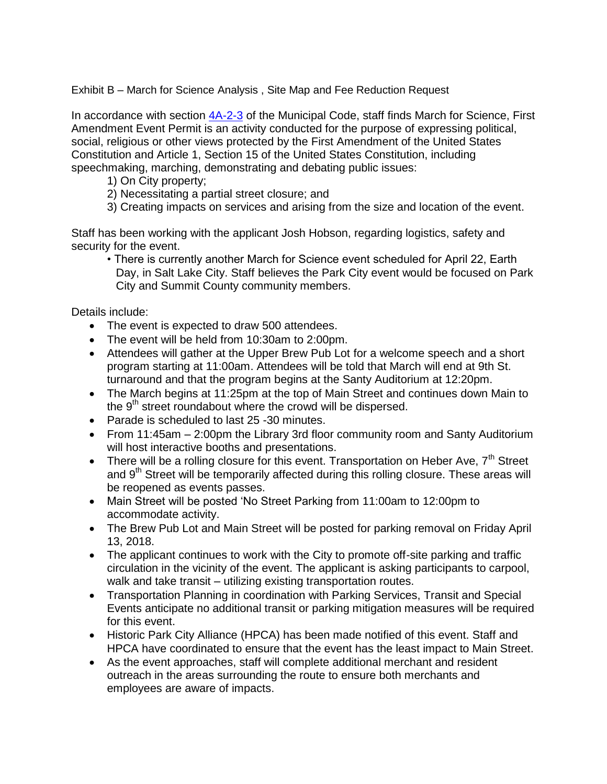Exhibit B – March for Science Analysis , Site Map and Fee Reduction Request

In accordance with section [4A-2-3](https://parkcity.municipalcodeonline.com/book?type=ordinances#name=4A-2-3_Special_Event_Permit_Application_Procedure) of the Municipal Code, staff finds March for Science, First Amendment Event Permit is an activity conducted for the purpose of expressing political, social, religious or other views protected by the First Amendment of the United States Constitution and Article 1, Section 15 of the United States Constitution, including speechmaking, marching, demonstrating and debating public issues:

- 1) On City property;
- 2) Necessitating a partial street closure; and
- 3) Creating impacts on services and arising from the size and location of the event.

Staff has been working with the applicant Josh Hobson, regarding logistics, safety and security for the event.

• There is currently another March for Science event scheduled for April 22, Earth Day, in Salt Lake City. Staff believes the Park City event would be focused on Park City and Summit County community members.

Details include:

- The event is expected to draw 500 attendees.
- The event will be held from 10:30am to 2:00pm.
- Attendees will gather at the Upper Brew Pub Lot for a welcome speech and a short program starting at 11:00am. Attendees will be told that March will end at 9th St. turnaround and that the program begins at the Santy Auditorium at 12:20pm.
- The March begins at 11:25pm at the top of Main Street and continues down Main to the  $9<sup>th</sup>$  street roundabout where the crowd will be dispersed.
- Parade is scheduled to last 25 -30 minutes.
- From 11:45am 2:00pm the Library 3rd floor community room and Santy Auditorium will host interactive booths and presentations.
- There will be a rolling closure for this event. Transportation on Heber Ave,  $7<sup>th</sup>$  Street and 9<sup>th</sup> Street will be temporarily affected during this rolling closure. These areas will be reopened as events passes.
- Main Street will be posted 'No Street Parking from 11:00am to 12:00pm to accommodate activity.
- The Brew Pub Lot and Main Street will be posted for parking removal on Friday April 13, 2018.
- The applicant continues to work with the City to promote off-site parking and traffic circulation in the vicinity of the event. The applicant is asking participants to carpool, walk and take transit – utilizing existing transportation routes.
- Transportation Planning in coordination with Parking Services, Transit and Special Events anticipate no additional transit or parking mitigation measures will be required for this event.
- Historic Park City Alliance (HPCA) has been made notified of this event. Staff and HPCA have coordinated to ensure that the event has the least impact to Main Street.
- As the event approaches, staff will complete additional merchant and resident outreach in the areas surrounding the route to ensure both merchants and employees are aware of impacts.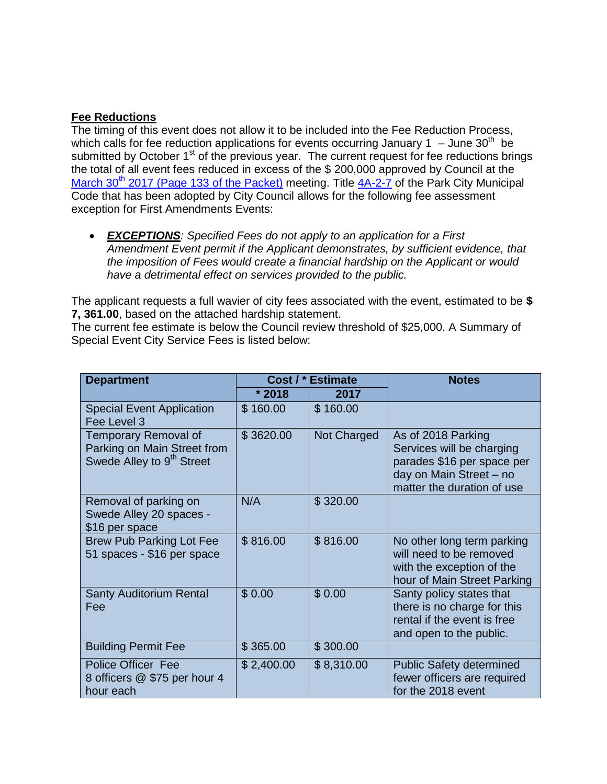# **Fee Reductions**

The timing of this event does not allow it to be included into the Fee Reduction Process, which calls for fee reduction applications for events occurring January 1  $-$  June 30<sup>th</sup> be submitted by October 1<sup>st</sup> of the previous year. The current request for fee reductions brings the total of all event fees reduced in excess of the \$ 200,000 approved by Council at the March 30<sup>th</sup> [2017 \(Page 133 of the Packet\)](http://parkcityut.iqm2.com/Citizens/FileOpen.aspx?Type=1&ID=2243&Inline=True) meeting. Title  $4A-2-7$  of the Park City Municipal Code that has been adopted by City Council allows for the following fee assessment exception for First Amendments Events:

 *EXCEPTIONS: Specified Fees do not apply to an application for a First Amendment Event permit if the Applicant demonstrates, by sufficient evidence, that the imposition of Fees would create a financial hardship on the Applicant or would have a detrimental effect on services provided to the public.*

The applicant requests a full wavier of city fees associated with the event, estimated to be **\$ 7, 361.00**, based on the attached hardship statement.

The current fee estimate is below the Council review threshold of \$25,000. A Summary of Special Event City Service Fees is listed below:

| <b>Department</b>                                                                            | Cost / * Estimate |             | <b>Notes</b>                                                                                                                           |
|----------------------------------------------------------------------------------------------|-------------------|-------------|----------------------------------------------------------------------------------------------------------------------------------------|
|                                                                                              | $*2018$           | 2017        |                                                                                                                                        |
| <b>Special Event Application</b><br>Fee Level 3                                              | \$160.00          | \$160.00    |                                                                                                                                        |
| Temporary Removal of<br>Parking on Main Street from<br>Swede Alley to 9 <sup>th</sup> Street | \$3620.00         | Not Charged | As of 2018 Parking<br>Services will be charging<br>parades \$16 per space per<br>day on Main Street - no<br>matter the duration of use |
| Removal of parking on<br>Swede Alley 20 spaces -<br>\$16 per space                           | N/A               | \$320.00    |                                                                                                                                        |
| <b>Brew Pub Parking Lot Fee</b><br>51 spaces - \$16 per space                                | \$816.00          | \$816.00    | No other long term parking<br>will need to be removed<br>with the exception of the<br>hour of Main Street Parking                      |
| <b>Santy Auditorium Rental</b><br>Fee                                                        | \$0.00            | \$0.00      | Santy policy states that<br>there is no charge for this<br>rental if the event is free<br>and open to the public.                      |
| <b>Building Permit Fee</b>                                                                   | \$365.00          | \$300.00    |                                                                                                                                        |
| <b>Police Officer Fee</b><br>8 officers @ \$75 per hour 4<br>hour each                       | \$2,400.00        | \$8,310.00  | <b>Public Safety determined</b><br>fewer officers are required<br>for the 2018 event                                                   |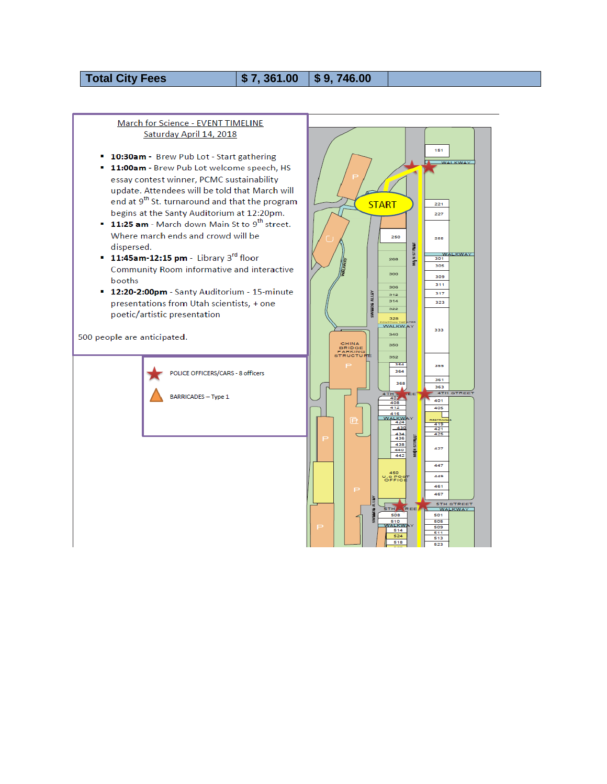# **Total City Fees**

#### $$7,361.00$ \$9,746.00

### March for Science - EVENT TIMELINE Saturday April 14, 2018

- **10:30am** Brew Pub Lot Start gathering
- **11:00am Brew Pub Lot welcome speech, HS** essay contest winner, PCMC sustainability update. Attendees will be told that March will end at 9<sup>th</sup> St. turnaround and that the program begins at the Santy Auditorium at 12:20pm.
- **11:25 am** March down Main St to 9<sup>th</sup> street. Where march ends and crowd will be dispersed.
- $\blacksquare$  11:45am-12:15 pm Library 3<sup>rd</sup> floor Community Room informative and interactive booths
- **12:20-2:00pm** Santy Auditorium 15-minute presentations from Utah scientists, + one poetic/artistic presentation

500 people are anticipated.



POLICE OFFICERS/CARS - 8 officers

**BARRICADES - Type 1** 

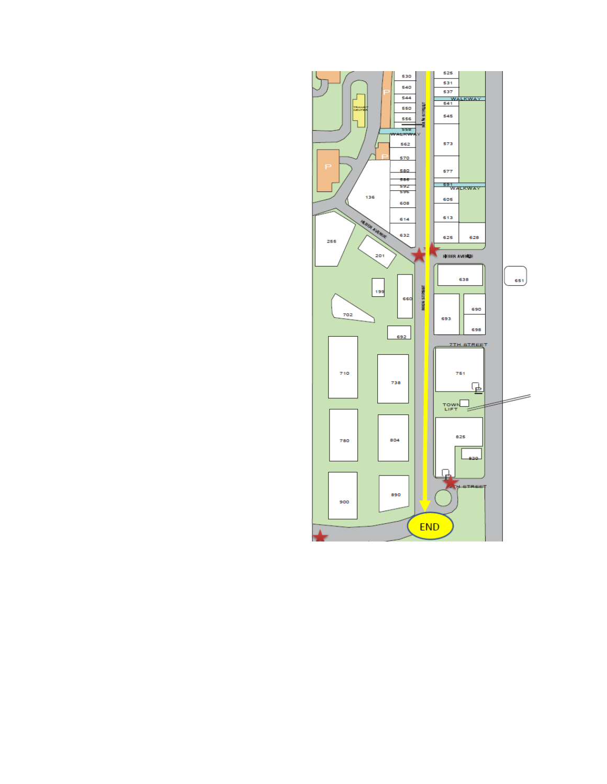